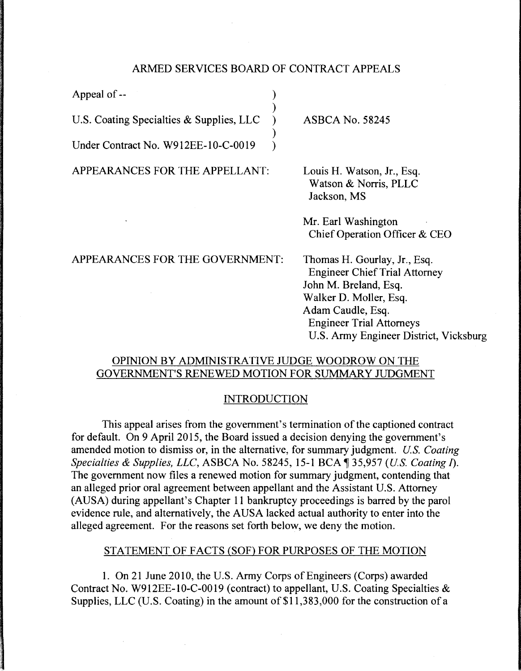## ARMED SERVICES BOARD OF CONTRACT APPEALS

)

)

Appeal of --

U.S. Coating Specialties & Supplies, LLC  $\)$ 

Under Contract No. W912EE-10-C-0019 )

APPEARANCES FOR THE APPELLANT:

ASBCA No. 58245

Louis H. Watson, Jr., Esq. Watson & Norris, PLLC Jackson, MS

Mr. Earl Washington Chief Operation Officer & CEO

APPEARANCES FOR THE GOVERNMENT:

Thomas H. Gourlay, Jr., Esq. Engineer Chief Trial Attorney John M. Breland, Esq. Walker D. Moller, Esq. Adam Caudle, Esq. Engineer Trial Attorneys U.S. Army Engineer District, Vicksburg

# OPINION BY ADMINISTRATIVE JUDGE WOODROW ON THE GOVERNMENT'S RENEWED MOTION FOR SUMMARY JUDGMENT

# INTRODUCTION

This appeal arises from the government's termination of the captioned contract for default. On 9 April 2015, the Board issued a decision denying the government's amended motion to dismiss or, in the alternative, for summary judgment. *U.S. Coating Specialties & Supplies, LLC, ASBCA No. 58245, 15-1 BCA*  $\parallel$  35,957 *(U.S. Coating I).* The government now files a renewed motion for summary judgment, contending that an alleged prior oral agreement between appellant and the Assistant U.S. Attorney (AUSA) during appellant's Chapter 11 bankruptcy proceedings is barred by the parol evidence rule, and alternatively, the AUSA lacked actual authority to enter into the alleged agreement. For the reasons set forth below, we deny the motion.

# STATEMENT OF FACTS (SOF) FOR PURPOSES OF THE MOTION

1. On 21 June 2010, the U.S. Army Corps of Engineers (Corps) awarded Contract No. W912EE-10-C-0019 (contract) to appellant, U.S. Coating Specialties & Supplies, LLC (U.S. Coating) in the amount of  $$11,383,000$  for the construction of a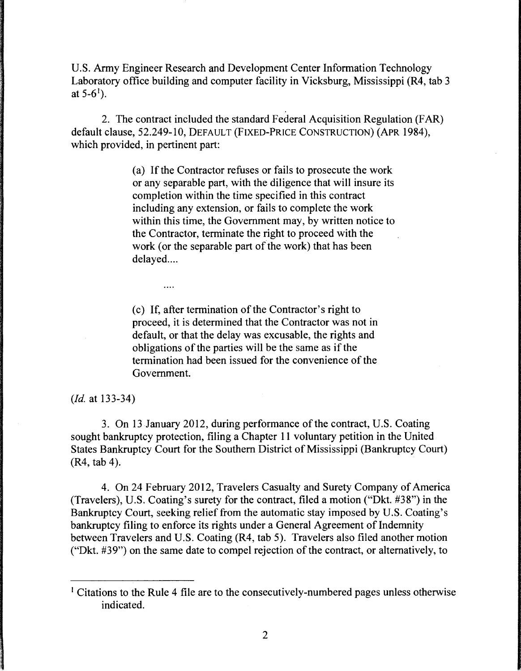U.S. Army Engineer Research and Development Center Information Technology Laboratory office building and computer facility in Vicksburg, Mississippi (R4, tab 3 at 5-6<sup>1</sup>).

2. The contract included the standard Federal Acquisition Regulation (FAR) default clause, 52.249-10, DEFAULT (FIXED-PRICE CONSTRUCTION) (APR 1984), which provided, in pertinent part:

> (a) If the Contractor refuses or fails to prosecute the work or any separable part, with the diligence that will insure its completion within the time specified in this contract including any extension, or fails to complete the work within this time, the Government may, by written notice to the Contractor, terminate the right to proceed with the work (or the separable part of the work) that has been delayed....

( c) If, after termination of the Contractor's right to proceed, it is determined that the Contractor was not in default, or that the delay was excusable, the rights and obligations of the parties will be the same as if the termination had been issued for the convenience of the Government.

*(Id.* at 133-34)

 $\cdots$ 

3. On 13 January 2012, during performance of the contract, U.S. Coating sought bankruptcy protection, filing a Chapter 11 voluntary petition in the United States Bankruptcy Court for the Southern District of Mississippi (Bankruptcy Court) (R4, tab 4).

4. On 24 February 2012, Travelers Casualty and Surety Company of America (Travelers), U.S. Coating's surety for the contract, filed a motion ("Dkt. #38") in the Bankruptcy Court, seeking relief from the automatic stay imposed by U.S. Coating's bankruptcy filing to enforce its rights under a General Agreement of Indemnity between Travelers and U.S. Coating (R4, tab 5). Travelers also filed another motion ("Dkt. #39") on the same date to compel rejection of the contract, or alternatively, to

<sup>&</sup>lt;sup>1</sup> Citations to the Rule 4 file are to the consecutively-numbered pages unless otherwise indicated.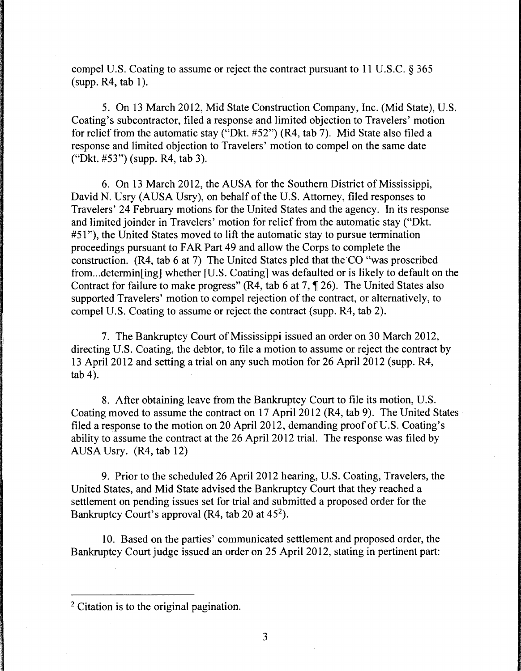compel U.S. Coating to assume or reject the contract pursuant to 11 U.S.C. § 365  $(supp. R4, tab 1)$ .

5. On 13 March 2012, Mid State Construction Company, Inc. (Mid State), U.S. Coating's subcontractor, filed a response and limited objection to Travelers' motion for relief from the automatic stay ("Dkt. #52") (R4, tab 7). Mid State also filed a response and limited objection to Travelers' motion to compel on the same date ("Dkt. #53") (supp. R4, tab 3).

6. On 13 March 2012, the AUSA for the Southern District of Mississippi, David N. Usry (AUSA Usry), on behalf of the U.S. Attorney, filed responses to Travelers' 24 February motions for the United States and the agency. In its response and limited joinder in Travelers' motion for relief from the automatic stay ("Dkt. #51"), the United States moved to lift the automatic stay to pursue termination proceedings pursuant to FAR Part 49 and allow the Corps to complete the construction. (R4, tab 6 at 7) The United States pied that the CO "was proscribed from ... determin[ing] whether [U.S. Coating] was defaulted or is likely to default on the Contract for failure to make progress" (R4, tab 6 at 7,  $\P$  26). The United States also supported Travelers' motion to compel rejection of the contract, or alternatively, to compel U.S. Coating to assume or reject the contract (supp. R4, tab 2).

7. The Bankruptcy Court of Mississippi issued an order on 30 March 2012, directing U.S. Coating, the debtor, to file a motion to assume or reject the contract by 13 April 2012 and setting a trial on any such motion for 26 April 2012 (supp. R4, tab 4).

8. After obtaining leave from the Bankruptcy Court to file its motion, U.S. Coating moved to assume the contract on 17 April 2012 (R4, tab 9). The United States· filed a response to the motion on 20 April 2012, demanding proof of U.S. Coating's ability to assume the contract at the 26 April 2012 trial. The response was filed by AUSA Usry. (R4, tab 12)

9. Prior to the scheduled 26 April 2012 hearing, U.S. Coating, Travelers, the United States, and Mid State advised the Bankruptcy Court that they reached a settlement on pending issues set for trial and submitted a proposed order for the Bankruptcy Court's approval ( $R4$ , tab 20 at  $45^2$ ).

10. Based on the parties' communicated settlement and proposed order, the Bankruptcy Court judge issued an order on 25 April 2012, stating in pertinent part:

<sup>2</sup> Citation is to the original pagination.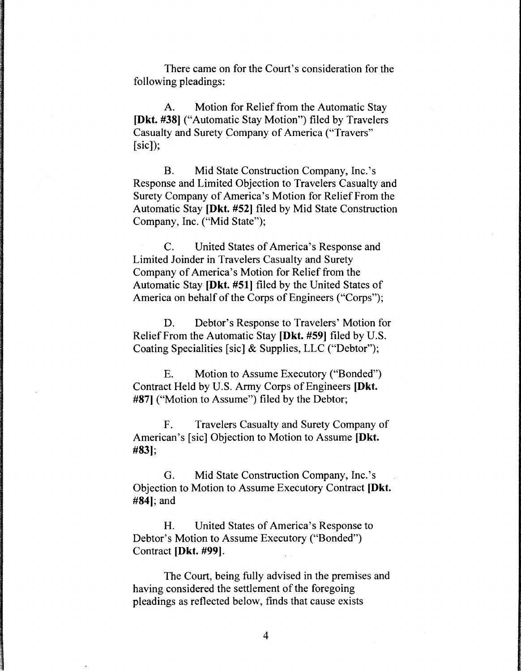There came on for the Court's consideration for the following pleadings:

A. Motion for Relief from the Automatic Stay **[Dkt. #38]** ("Automatic Stay Motion") filed by Travelers Casualty and Surety Company of America ("Travers" [sic]);

B. Mid State Construction Company, Inc. 's Response and Limited Objection to Travelers Casualty and Surety Company of America's Motion for Relief From the Automatic Stay **[Dkt.** #52] filed by Mid State Construction Company, Inc. ("Mid State");

C. United States of America's Response and Limited Joinder in Travelers Casualty and Surety Company of America's Motion for Relief from the Automatic Stay **[Dkt. #51]** filed by the United States of America on behalf of the Corps of Engineers ("Corps");

D. Debtor's Response to Travelers' Motion for Relief From the Automatic Stay **[Dkt. #59)** filed by U.S. Coating Specialities [sic] & Supplies, LLC ("Debtor");

E. Motion to Assume Executory ("Bonded") Contract Held by U.S. Army Corps of Engineers **[Dkt.**  #87) ("Motion to Assume") filed by the Debtor;

F. Travelers Casualty and Surety Company of American's [sic] Objection to Motion to Assume **[Dkt. #83);** 

G. Mid State Construction Company, Inc. 's Objection to Motion to Assume Executory Contract **[Dkt. #84];** and

H. United States of America's Response to Debtor's Motion to Assume Executory ("Bonded") Contract **[Dkt. #99).** 

The Court, being fully advised in the premises and having considered the settlement of the foregoing pleadings as reflected below, finds that cause exists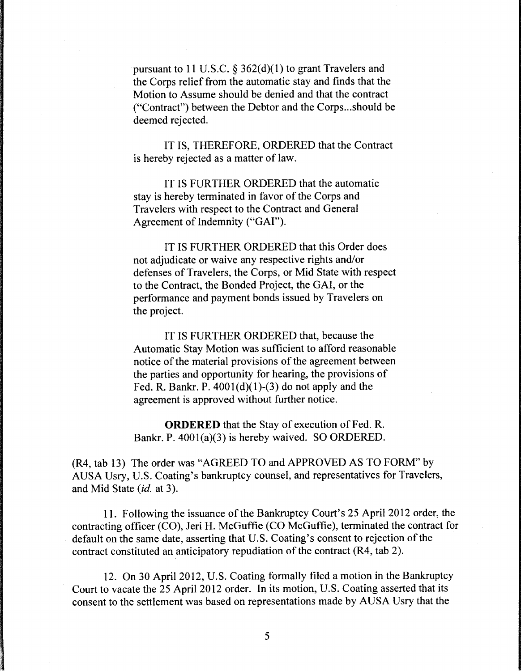pursuant to 11 U.S.C.  $\S 362(d)(1)$  to grant Travelers and the Corps relief from the automatic stay and finds that the Motion to Assume should be denied and that the contract ("Contract") between the Debtor and the Corps...should be deemed rejected.

IT IS, THEREFORE, ORDERED that the Contract is hereby rejected as a matter of law.

IT IS FURTHER ORDERED that the automatic stay is hereby terminated in favor of the Corps and Travelers with respect to the Contract and General Agreement of Indemnity ('"GAI").

IT IS FURTHER ORDERED that this Order does not adjudicate or waive any respective rights and/or defenses of Travelers, the Corps, or Mid State with respect to the Contract, the Bonded Project, the GAI, or the performance and payment bonds issued by Travelers on the project.

IT IS FURTHER ORDERED that, because the Automatic Stay Motion was sufficient to afford reasonable notice of the material provisions of the agreement between the parties and opportunity for hearing, the provisions of Fed. R. Bankr. P.  $4001(d)(1)-(3)$  do not apply and the agreement is approved without further notice.

**ORDERED** that the Stay of execution of Fed. R. Bankr. P. 4001(a)(3) is hereby waived. SO ORDERED.

(R4, tab 13) The order was "AGREED TO and APPROVED AS TO FORM" by AUSA Usry, U.S. Coating's bankruptcy counsel, and representatives for Travelers, and Mid State *(id.* at 3).

11. Following the issuance of the Bankruptcy Court's 25 April 2012 order, the contracting officer (CO), Jeri H. McGuffie (CO McGuffie), terminated the contract for default on the same date, asserting that U.S. Coating's consent to rejection of the contract constituted an anticipatory repudiation of the contract (R4, tab 2).

12. On 30 April 2012, U.S. Coating formally filed a motion in the Bankruptcy Court to vacate the 25 April 2012 order. In its motion, U.S. Coating asserted that its consent to the settlement was based on representations made by AUSA Usry that the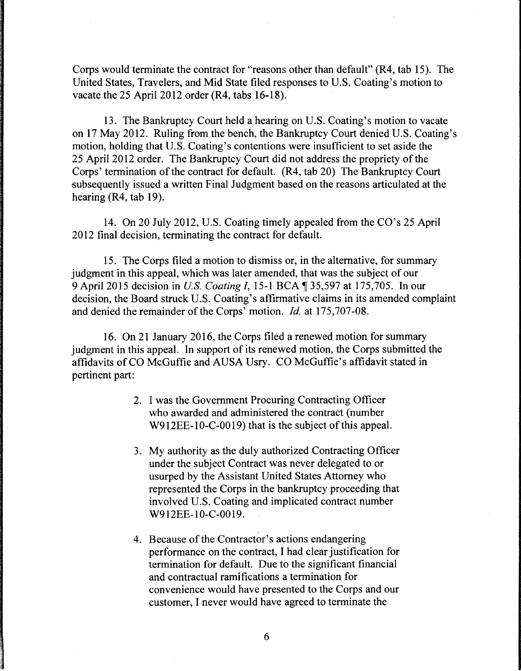Corps would terminate the contract for "reasons other than default" (R4, tab 15). The United States, Travelers, and Mid State filed responses to U.S. Coating's motion to vacate the 25 April 2012 order (R4, tabs 16-18).

13. The Bankruptcy Court held a hearing on U.S. Coating's motion to vacate on 17 May 2012. Ruling from the bench, the Bankruptcy Court denied U.S. Coating's motion, holding that U.S. Coating's contentions were insufficient to set aside the 25 April 2012 order. The Bankruptcy Court did not address the propriety of the Corps' termination of the contract for default. (R4, tab 20) The Bankruptcy Court subsequently issued a written Final Judgment based on the reasons articulated at the hearing (R4, tab 19).

14. On 20 July 2012, U.S. Coating timely appealed from the CO's 25 April 2012 final decision, terminating the contract for default.

15. The Corps filed a motion to dismiss or, in the alternative, for summary judgment in this appeal, which was later amended, that was the subject of our 9 April 2015 decision in *U.S. Coating I*, 15-1 BCA ¶ 35,597 at 175,705. In our decision, the Board struck U.S. Coating's affirmative claims in its amended complaint and denied the remainder of the Corps' motion. *Id.* at 175,707-08.

16. On 21 January 2016, the Corps filed a renewed motion for summary judgment in this appeal. In support of its renewed motion, the Corps submitted the affidavits of CO McGuffie and AUSA Usry. CO McGuffie's affidavit stated in pertinent part:

- 2. I was the Government Procuring Contracting Officer who awarded and administered the contract (number W912EE-10-C-0019) that is the subject of this appeal.
- 3. My authority as the duly authorized Contracting Officer under the subject Contract was never delegated to or usurped by the Assistant United States Attorney who represented the Corps in the bankruptcy proceeding that involved U.S. Coating and implicated contract number W912EE-10-C-0019.
- 4. Because of the Contractor's actions endangering performance on the contract, I had clear justification for termination for default. Due to the significant financial and contractual ramifications a termination for convenience would have presented to the Corps and our customer, I never would have agreed to terminate the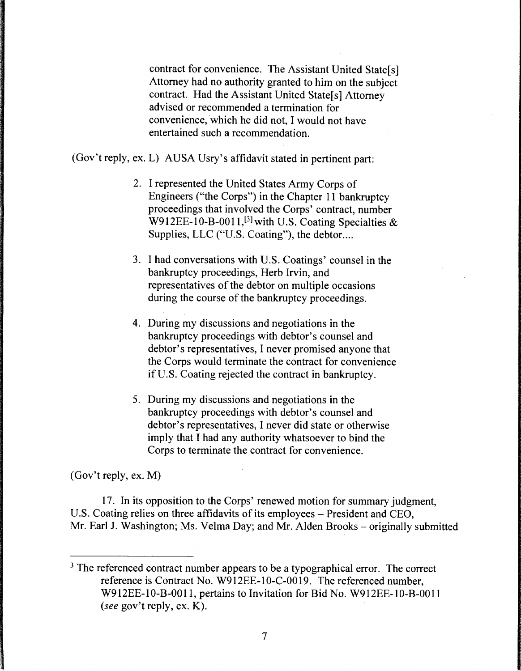contract for convenience. The Assistant United State[s] Attorney had no authority granted to him on the subject contract. Had the Assistant United State[s] Attorney advised or recommended a termination for convenience, which he did not, I would not have entertained such a recommendation.

(Gov't reply, ex. L) AUSA Usry's affidavit stated in pertinent part:

- 2. I represented the United States Army Corps of Engineers ("the Corps") in the Chapter 11 bankruptcy proceedings that involved the Corps' contract, number W912EE-10-B-0011,<sup>[3]</sup> with U.S. Coating Specialties  $\&$ Supplies, LLC ("U.S. Coating"), the debtor....
- 3. I had conversations with U.S. Coatings' counsel in the bankruptcy proceedings, Herb Irvin, and representatives of the debtor on multiple occasions during the course of the bankruptcy proceedings.
- 4. During my discussions and negotiations in the bankruptcy proceedings with debtor's counsel and debtor's representatives, I never promised anyone that the Corps would terminate the contract for convenience if U.S. Coating rejected the contract in bankruptcy.
- 5. During my discussions and negotiations in the bankruptcy proceedings with debtor's counsel and debtor's representatives, I never did state or otherwise imply that I had any authority whatsoever to bind the Corps to terminate the contract for convenience.

(Gov't reply, ex. M)

17. In its opposition to the Corps' renewed motion for summary judgment, U.S. Coating relies on three affidavits of its employees – President and CEO, Mr. Earl J. Washington; Ms. Velma Day; and Mr. Alden Brooks – originally submitted

<sup>&</sup>lt;sup>3</sup> The referenced contract number appears to be a typographical error. The correct reference is Contract No. W912EE-10-C-0019. The referenced number, W912EE-10-B-001 l, pertains to Invitation for Bid No. W912EE-10-B-001 l *(see* gov't reply, ex. K).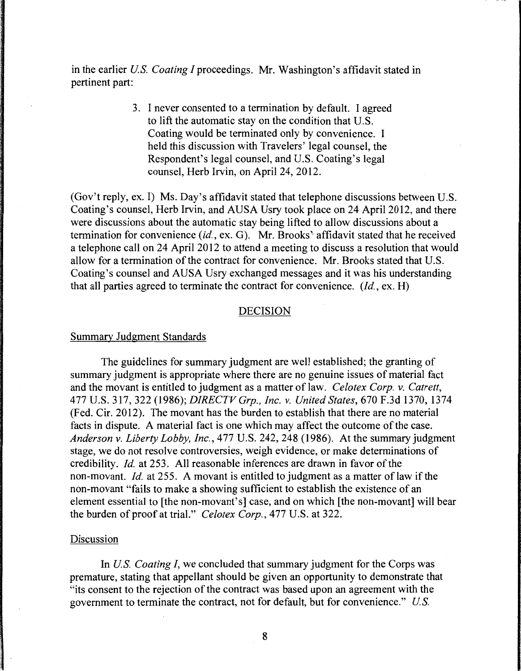in the earlier *US. Coating I* proceedings. Mr. Washington's affidavit stated in pertinent part:

> 3. I never consented to a termination by default. I agreed to lift the automatic stay on the condition that U.S. Coating would be terminated only by convenience. I held this discussion with Travelers' legal counsel, the Respondent's legal counsel, and U.S. Coating's legal counsel, Herb Irvin, on April 24, 2012.

(Gov't reply, ex. I) Ms. Day's affidavit stated that telephone discussions between U.S. Coating's counsel, Herb Irvin, and AUSA Usry took place on 24 April 2012, and there were discussions about the automatic stay being lifted to allow discussions about a termination for convenience *(id.,* ex. G). Mr. Brooks'· affidavit stated that he received a telephone call on 24 April 2012 to attend a meeting to discuss a resolution that would allow for a termination of the contract for convenience. Mr. Brooks stated that U.S. Coating's counsel and AUSA Usry exchanged messages and it was his understanding that all parties agreed to terminate the contract for convenience. *(Id.,* ex. H)

#### DECISION

#### Summary Judgment Standards

The guidelines for summary judgment are well established; the granting of summary judgment is appropriate where there are no genuine issues of material fact and the movant is entitled to judgment as a matter of law. *Celotex Corp.* v. *Catrett,*  477 U.S. 317, 322 (1986); *DIRECTV Grp., Inc.* v. *United States,* 670 F.3d 1370, 1374 (Fed. Cir. 2012). The movant has the burden to establish that there are no material facts in dispute. A material fact is one which may affect the outcome of the case. *Anderson* v. *Liberty Lobby, Inc.,* 477 U.S. 242, 248 (1986). At the summary judgment stage, we do not resolve controversies, weigh evidence, or make determinations of credibility. *Id.* at 253. All reasonable inferences are drawn in favor of the non-movant. *Id.* at 255. A movant is entitled to judgment as a matter of law if the non-movant "fails to make a showing sufficient to establish the existence of an element essential to [the non-movant's] case, and on which [the non-movant] will bear the burden of proof at trial." *Celotex Corp.,* 477 U.S. at 322.

#### Discussion

In *U.S. Coating I*, we concluded that summary judgment for the Corps was premature, stating that appellant should be given an opportunity to demonstrate that "its consent to the rejection of the contract was based upon an agreement with the government to terminate the contract, not for default, but for convenience." *US.*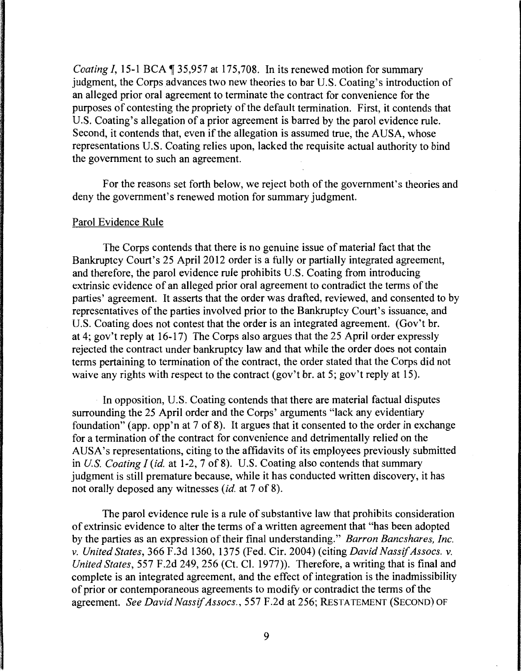*Coating I, 15-1 BCA* 135,957 at 175,708. In its renewed motion for summary judgment, the Corps advances two new theories to bar U.S. Coating's introduction of an alleged prior oral agreement to terminate the contract for convenience for the purposes of contesting the propriety of the default termination. First, it contends that U.S. Coating's allegation of a prior agreement is barred by the parol evidence rule. Second, it contends that, even if the allegation is assumed true, the AUSA, whose representations U.S. Coating relies upon, lacked the requisite actual authority to bind the government to such an agreement.

For the reasons set forth below, we reject both of the government's theories and deny the government's renewed motion for summary judgment.

# Parol Evidence Rule

The Corps contends that there is no genuine issue of material fact that the Bankruptcy Court's 25 April 2012 order is a fully or partially integrated agreement, and therefore, the parol evidence rule prohibits U.S. Coating from introducing extrinsic evidence of an alleged prior oral agreement to contradict the terms of the parties' agreement. It asserts that the order was drafted, reviewed, and consented to by representatives of the parties involved prior to the Bankruptcy Court's issuance, and U.S. Coating does not contest that the order is an integrated agreement. (Gov't br. at 4; gov't reply at 16-17) The Corps also argues that the 25 April order expressly rejected the contract under bankruptcy law and that while the order does not contain terms pertaining to termination of the contract, the order stated that the Corps did not waive any rights with respect to the contract (gov't br. at 5; gov't reply at 15).

In opposition, U.S. Coating contends that there are material factual disputes surrounding the 25 April order and the Corps' arguments "lack any evidentiary foundation" (app. opp'n at 7 of 8). It argues that it consented to the order in exchange for a termination of the contract for convenience and detrimentally relied on the AUSA's representations, citing to the affidavits of its employees previously submitted in *US. Coating I (id.* at 1-2, 7 of 8). U.S. Coating also contends that summary judgment is still premature because, while it has conducted written discovery, it has not orally deposed any witnesses *(id.* at 7 of 8).

The parol evidence rule is a rule of substantive law that prohibits consideration of extrinsic evidence to alter the terms of a written agreement that "has been adopted by the parties as an expression of their final understanding." *Barron Bancshares, Inc. v. United States,* 366 F.3d 1360, 1375 (Fed. Cir. 2004) (citing *David Nassif Assocs. v. United States,* 557 F.2d 249, 256 (Ct. Cl. 1977)). Therefore, a writing that is final and complete is an integrated agreement, and the effect of integration is the inadmissibility of prior or contemporaneous agreements to modify or contradict the terms of the agreement. *See David Nassif Assocs.,* 557 F.2d at 256; RESTATEMENT (SECOND) OF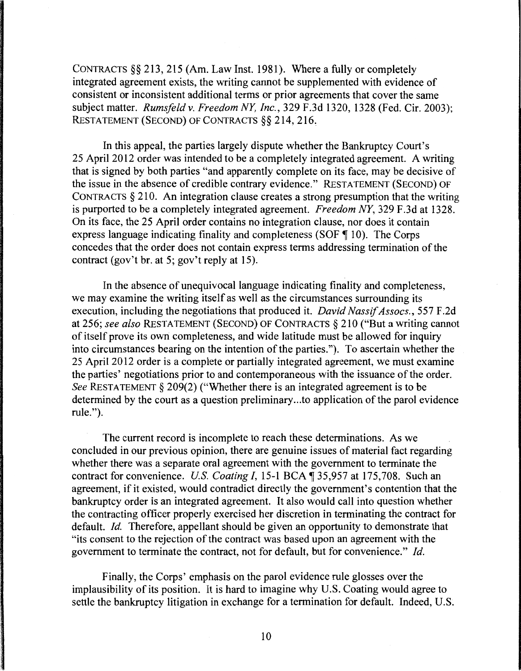CONTRACTS§§ 213, 215 (Am. Law Inst. 1981). Where a fully or completely integrated agreement exists, the writing cannot be supplemented with evidence of consistent or inconsistent additional terms or prior agreements that cover the same subject matter. *Rumsfeldv. Freedom NY, Inc.,* 329 F.3d 1320, 1328 (Fed. Cir. 2003); RESTATEMENT (SECOND) OF CONTRACTS §§ 214, 216.

In this appeal, the parties largely dispute whether the Bankruptcy Court's 25 April 2012 order was intended to be a completely integrated agreement. A writing that is signed by both parties "and apparently complete on its face, may be decisive of the issue in the absence of credible contrary evidence." RESTATEMENT (SECOND) OF CONTRACTS § 210. An integration clause creates a strong presumption that the writing is purported to be a completely integrated agreement. *Freedom NY,* 329 F.3d at 1328. On its face, the 25 April order contains no integration clause, nor does it contain express language indicating finality and completeness (SOF  $\P$  10). The Corps concedes that the order does not contain express terms addressing termination of the contract (gov't br. at 5; gov't reply at 15).

In the absence of unequivocal language indicating finality and completeness, we may examine the writing itself as well as the circumstances surrounding its execution, including the negotiations that produced it. *David Nassif Assocs.,* 557 F .2d at 256; *see also* RESTATEMENT (SECOND) OF CONTRACTS§ 210 ("But a writing cannot of itself prove its own completeness, and wide latitude must be allowed for inquiry into circumstances bearing on the intention of the parties."). To ascertain whether the 25 April 2012 order is a complete or partially integrated agreement, we must examine the parties' negotiations prior to and contemporaneous with the issuance of the order. *See* RESTATEMENT§ 209(2) ("Whether there is an integrated agreement is to be determined by the court as a question preliminary ... to application of the parol evidence rule.").

The current record is incomplete to reach these determinations. As we concluded in our previous opinion, there are genuine issues of material fact regarding whether there was a separate oral agreement with the government to terminate the contract for convenience. *U.S. Coating I*, 15-1 BCA  $\sqrt{ }$  35,957 at 175,708. Such an agreement, if it existed, would contradict directly the government's contention that the bankruptcy order is an integrated agreement. It also would call into question whether the contracting officer properly exercised her discretion in terminating the contract for default. *Id.* Therefore, appellant should be given an opportunity to demonstrate that "its consent to the rejection of the contract was based upon an agreement with the government to terminate the contract, not for default, but for convenience." *Id.* 

Finally, the Corps' emphasis on the parol evidence rule glosses over the implausibility of its position. It is hard to imagine why U.S. Coating would agree to settle the bankruptcy litigation in exchange for a termination for default. Indeed, U.S.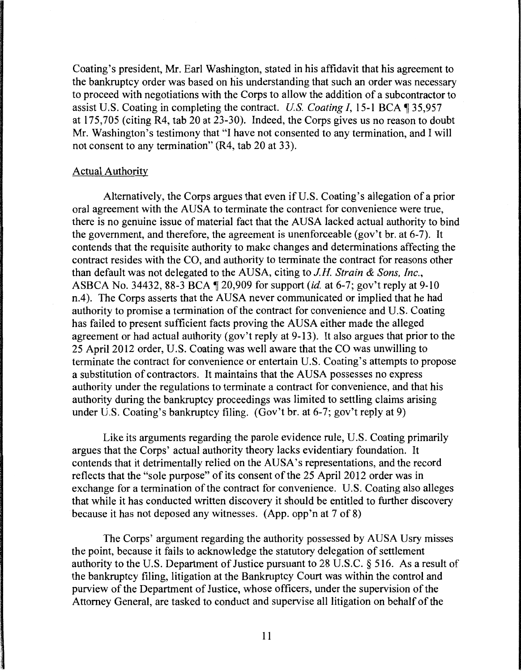Coating's president, Mr. Earl Washington, stated in his affidavit that his agreement to the bankruptcy order was based on his understanding that such an order was necessary to proceed with negotiations with the Corps to allow the addition of a subcontractor to assist U.S. Coating in completing the contract. *U.S. Coating I*, 15-1 BCA, 35,957 at 175,705 (citing R4, tab 20 at 23-30). Indeed, the Corps gives us no reason to doubt Mr. Washington's testimony that "I have not consented to any termination, and I will not consent to any termination" (R4, tab 20 at 33).

## Actual Authority

Alternatively, the Corps argues that even if U.S. Coating's allegation of a prior oral agreement with the AUSA to terminate the contract for convenience were true, there is no genuine issue of material fact that the AUSA lacked actual authority to bind the government, and therefore, the agreement is unenforceable (gov't br. at 6-7). It contends that the requisite authority to make changes and determinations affecting the contract resides with the CO, and authority to terminate the contract for reasons other than default was not delegated to the AUSA, citing to *J.H. Strain* & *Sons, Inc.,*  ASBCA No. 34432, 88-3 BCA, 20,909 for support *(id.* at 6-7; gov't reply at 9-10 n.4). The Corps asserts that the AUSA never communicated or implied that he had authority to promise a termination of the contract for convenience and U.S. Coating has failed to present sufficient facts proving the AUSA either made the alleged agreement or had actual authority (gov't reply at 9-13). It also argues that prior to the 25 April 2012 order, U.S. Coating was well aware that the CO was unwilling to terminate the contract for convenience or entertain U.S. Coating's attempts to propose a substitution of contractors. It maintains that the AUSA possesses no express authority under the regulations to terminate a contract for convenience, and that his authority during the bankruptcy proceedings was limited to settling claims arising under U.S. Coating's bankruptcy filing. (Gov't br. at 6-7; gov't reply at 9)

Like its arguments regarding the parole evidence rule, U.S. Coating primarily argues that the Corps' actual authority theory lacks evidentiary foundation. It contends that it detrimentally relied on the AUSA's representations, and the record reflects that the "sole purpose" of its consent of the 25 April 2012 order was in exchange for a termination of the contract for convenience. U.S. Coating also alleges that while it has conducted written discovery it should be entitled to further discovery because it has not deposed any witnesses. (App. opp'n at 7 of 8)

The Corps' argument regarding the authority possessed by AUSA Usry misses the point, because it fails to acknowledge the statutory delegation of settlement authority to the U.S. Department of Justice pursuant to 28 U.S.C. § 516. As a result of the bankruptcy filing, litigation at the Bankruptcy Court was within the control and purview of the Department of Justice, whose officers, under the supervision of the Attorney General, are tasked to conduct and supervise all litigation on behalf of the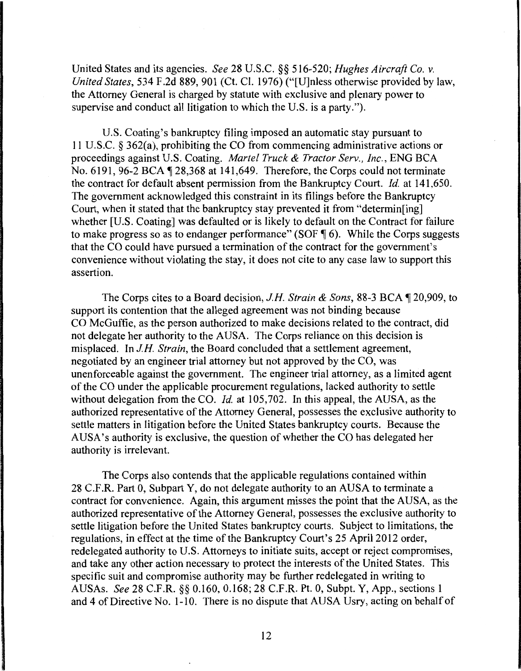United States and its agencies. *See* 28 U.S.C. §§ 516-520; *Hughes Aircraft Co. v. United States,* 534 F.2d 889, 901 (Ct. Cl. 1976) ("[U]nless otherwise provided by law, the Attorney General is charged by statute with exclusive and plenary power to supervise and conduct all litigation to which the U.S. is a party.").

U.S. Coating's bankruptcy filing imposed an automatic stay pursuant to 11 U.S.C. § 362(a), prohibiting the CO from commencing administrative actions or proceedings against U.S. Coating. *Martel Truck* & *Tractor Serv., Inc.,* ENG BCA No. 6191, 96-2 BCA  $\P$  28,368 at 141,649. Therefore, the Corps could not terminate the contract for default absent permission from the Bankruptcy Court. *Id.* at 141,650. The government acknowledged this constraint in its filings before the Bankruptcy Court, when it stated that the bankruptcy stay prevented it from "determin[ing] whether [U.S. Coating] was defaulted or is likely to default on the Contract for failure to make progress so as to endanger performance" (SOF  $\P$  6). While the Corps suggests that the CO could have pursued a termination of the contract for the government's convenience without violating the stay, it does not cite to any case law to support this assertion.

The Corps cites to a Board decision, *J.H. Strain & Sons*, 88-3 BCA \[\ended 20,909, to support its contention that the alleged agreement was not binding because CO McGuffie, as the person authorized to make decisions related to the contract, did not delegate her authority to the AUSA. The Corps reliance on this decision is misplaced. In *J.H. Strain,* the Board concluded that a settlement agreement, negotiated by an engineer trial attorney but not approved by the CO, was unenforceable against the government. The engineer trial attorney, as a limited agent of the CO under the applicable procurement regulations, lacked authority to settle without delegation from the CO. *Id.* at 105,702. In this appeal, the AUSA, as the authorized representative of the Attorney General, possesses the exclusive authority to settle matters in litigation before the United States bankruptcy courts. Because the AUSA's authority is exclusive, the question of whether the CO has delegated her authority is irrelevant.

The Corps also contends that the applicable regulations contained within 28 C.F .R. Part 0, Subpart Y, do not delegate authority to an AUSA to terminate a contract for convenience. Again, this argument misses the point that the AUSA, as the authorized representative of the Attorney General, possesses the exclusive authority to settle litigation before the United States bankruptcy courts. Subject to limitations, the regulations, in effect at the time of the Bankruptcy Court's 25 April 2012 order, redelegated authority to U.S. Attorneys to initiate suits, accept or reject compromises, and take any other action necessary to protect the interests of the United States. This specific suit and compromise authority may be further redelegated in writing to AUSAs. *See* 28 C.F.R. §§ 0.160, 0.168; 28 C.F.R. Pt. 0, Subpt. Y, App., sections I and 4 of Directive No. 1-10. There is no dispute that AUSA Usry, acting on behalf of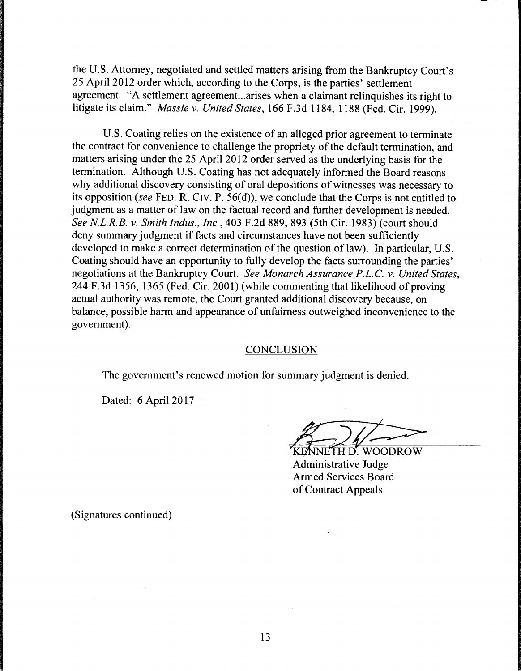the U.S. Attorney, negotiated and settled matters arising from the Bankruptcy Court's 25 April 2012 order which, according to the Corps, is the parties' settlement agreement. "A settlement agreement.. .arises when a claimant relinquishes its right to litigate its claim." *Massie v. United States,* 166 F .3d 1184, 1188 (Fed. Cir. 1999).

U.S. Coating relies on the existence of an alleged prior agreement to terminate the contract for convenience to challenge the propriety of the default termination, and matters arising under the 25 April 2012 order served as the underlying basis for the termination. Although U.S. Coating has not adequately informed the Board reasons why additional discovery consisting of oral depositions of witnesses was necessary to its opposition *(see* FED. R. C1v. P. 56(d)), we conclude that the Corps is not entitled to judgment as a matter of law on the factual record and further development is needed. *See NL.R.B. v. Smith Indus., Inc.,* 403 F.2d 889, 893 (5th Cir. 1983) (court should deny summary judgment if facts and circumstances have not been sufficiently developed to make a correct determination of the question of law). In particular, U.S. Coating should have an opportunity to fully develop the facts surrounding the parties' negotiations at the Bankruptcy Court. *See Monarch Assurance P.L.C. v. United States,*  244 F.3d 1356, 1365 (Fed. Cir. 2001) (while commenting that likelihood of proving actual authority was remote, the Court granted additional discovery because, on balance, possible harm and appearance of unfairness outweighed inconvenience to the government).

## **CONCLUSION**

The government's renewed motion for summary judgment is denied.

Dated: 6 April 2017

KENNETH D'. WOODROW Administrative Judge Armed Services Board of Contract Appeals

(Signatures continued)